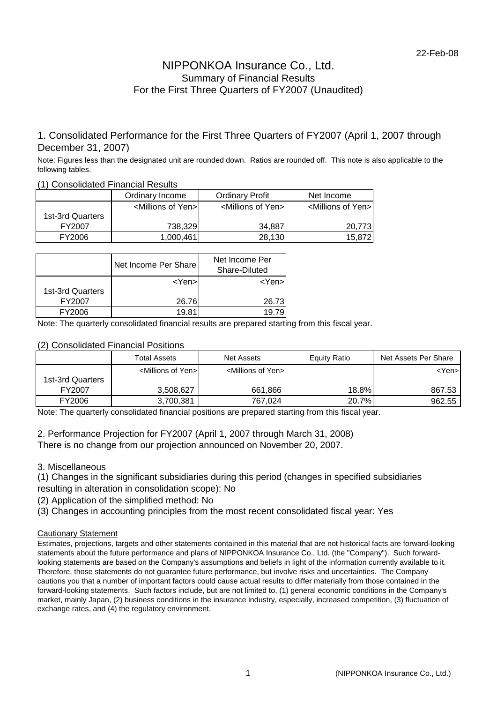### NIPPONKOA Insurance Co., Ltd. Summary of Financial Results For the First Three Quarters of FY2007 (Unaudited)

### 1. Consolidated Performance for the First Three Quarters of FY2007 (April 1, 2007 through December 31, 2007)

Note: Figures less than the designated unit are rounded down. Ratios are rounded off. This note is also applicable to the following tables.

|                  | Ordinary Income                    | <b>Ordinary Profit</b>              | Net Income                          |  |  |  |  |  |  |  |  |
|------------------|------------------------------------|-------------------------------------|-------------------------------------|--|--|--|--|--|--|--|--|
|                  | <millions of="" yen=""></millions> | <millions of="" yen="">I</millions> | <millions of="" yen="">I</millions> |  |  |  |  |  |  |  |  |
| 1st-3rd Quarters |                                    |                                     |                                     |  |  |  |  |  |  |  |  |
| FY2007           | 738,329                            | 34.887                              | 20.773                              |  |  |  |  |  |  |  |  |
| FY2006           | 1.000.461                          | 28,130                              | 15,872                              |  |  |  |  |  |  |  |  |

#### (1) Consolidated Financial Results

|                  | Net Income Per Share | Net Income Per<br>Share-Diluted |
|------------------|----------------------|---------------------------------|
| 1st-3rd Quarters | <yen>l</yen>         | <yen></yen>                     |
| FY2007           | 26.76                | 26.73                           |
| <b>FY2006</b>    | 19 R                 |                                 |

Note: The quarterly consolidated financial results are prepared starting from this fiscal year.

### (2) Consolidated Financial Positions

|                  | <b>Total Assets</b>                 | Net Assets                          | Equity Ratio | Net Assets Per Share |
|------------------|-------------------------------------|-------------------------------------|--------------|----------------------|
|                  | <millions of="" yen="">I</millions> | <millions of="" yen="">I</millions> |              | <yen>'</yen>         |
| 1st-3rd Quarters |                                     |                                     |              |                      |
| FY2007           | 3,508,627                           | 661,866                             | 18.8%        | 867.53               |
| FY2006           | 3,700,381                           | 767,024                             | 20.7%        | 962.55               |

Note: The quarterly consolidated financial positions are prepared starting from this fiscal year.

2. Performance Projection for FY2007 (April 1, 2007 through March 31, 2008) There is no change from our projection announced on November 20, 2007.

### 3. Miscellaneous

(1) Changes in the significant subsidiaries during this period (changes in specified subsidiaries resulting in alteration in consolidation scope): No

- (2) Application of the simplified method: No
- (3) Changes in accounting principles from the most recent consolidated fiscal year: Yes

### Cautionary Statement

Estimates, projections, targets and other statements contained in this material that are not historical facts are forward-looking statements about the future performance and plans of NIPPONKOA Insurance Co., Ltd. (the "Company"). Such forwardlooking statements are based on the Company's assumptions and beliefs in light of the information currently available to it. Therefore, those statements do not guarantee future performance, but involve risks and uncertainties. The Company cautions you that a number of important factors could cause actual results to differ materially from those contained in the forward-looking statements. Such factors include, but are not limited to, (1) general economic conditions in the Company's market, mainly Japan, (2) business conditions in the insurance industry, especially, increased competition, (3) fluctuation of exchange rates, and (4) the regulatory environment.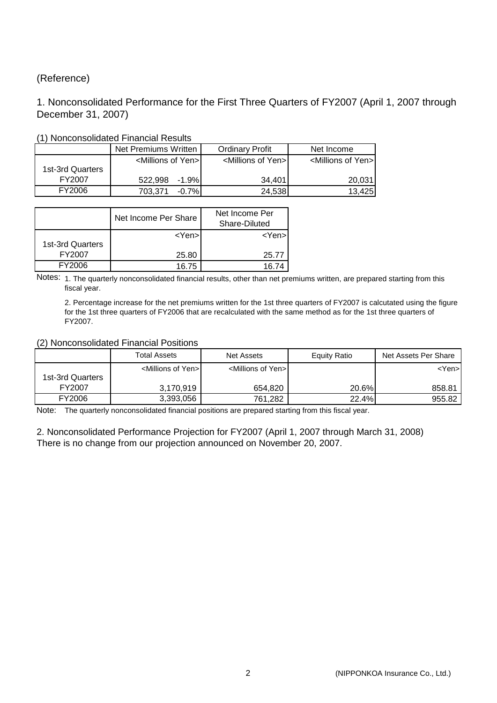### (Reference)

### 1. Nonconsolidated Performance for the First Three Quarters of FY2007 (April 1, 2007 through December 31, 2007)

|                  | Net Premiums Written I             | <b>Ordinary Profit</b>              | Net Income                         |  |  |  |  |  |  |  |  |
|------------------|------------------------------------|-------------------------------------|------------------------------------|--|--|--|--|--|--|--|--|
|                  | <millions of="" yen=""></millions> | <millions of="" yen="">I</millions> | <millions of="" yen=""></millions> |  |  |  |  |  |  |  |  |
| 1st-3rd Quarters |                                    |                                     |                                    |  |  |  |  |  |  |  |  |
| FY2007           | 522.998<br>-1.9%                   | 34.401                              | 20,031                             |  |  |  |  |  |  |  |  |
| FY2006           | $-0.7%$<br>703.371                 | 24,538                              | 13,425                             |  |  |  |  |  |  |  |  |

### (1) Nonconsolidated Financial Results

|                  | Net Income Per Share | Net Income Per<br>Share-Diluted |
|------------------|----------------------|---------------------------------|
| 1st-3rd Quarters | $<$ Yen $>$          | <yen>l</yen>                    |
| FY2007           | 25.80                | 25.77                           |
| <b>FY2006</b>    | 16.75                |                                 |

Notes: 1. The quarterly nonconsolidated financial results, other than net premiums written, are prepared starting from this fiscal year.

2. Percentage increase for the net premiums written for the 1st three quarters of FY2007 is calcutated using the figure for the 1st three quarters of FY2006 that are recalculated with the same method as for the 1st three quarters of FY2007.

#### (2) Nonconsolidated Financial Positions

|                  | <b>Total Assets</b>                 | Net Assets                          | Equity Ratio | Net Assets Per Share |
|------------------|-------------------------------------|-------------------------------------|--------------|----------------------|
|                  | <millions of="" yen="">I</millions> | <millions of="" yen="">I</millions> |              | <yen>l</yen>         |
| 1st-3rd Quarters |                                     |                                     |              |                      |
| FY2007           | 3.170.919                           | 654.820                             | 20.6%        | 858.81               |
| FY2006           | 3,393,056                           | 761.282                             | 22.4%        | 955.82               |

Note: The quarterly nonconsolidated financial positions are prepared starting from this fiscal year.

2. Nonconsolidated Performance Projection for FY2007 (April 1, 2007 through March 31, 2008) There is no change from our projection announced on November 20, 2007.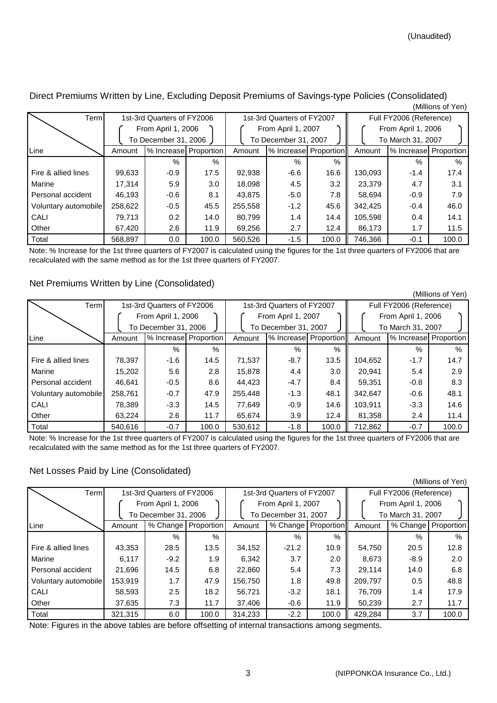| Terml                |                                            | 1st-3rd Quarters of FY2006 |       | 1st-3rd Quarters of FY2007 |                       |       | Full FY2006 (Reference) |                       |       |  |
|----------------------|--------------------------------------------|----------------------------|-------|----------------------------|-----------------------|-------|-------------------------|-----------------------|-------|--|
|                      | From April 1, 2006<br>To December 31, 2006 |                            |       | From April 1, 2007         |                       |       | From April 1, 2006      |                       |       |  |
|                      |                                            |                            |       | To December 31, 2007       |                       |       |                         | To March 31, 2007     |       |  |
| Line                 | Amount                                     | % Increase Proportion      |       | Amount                     | % Increase Proportion |       | Amount                  | % Increase Proportion |       |  |
|                      |                                            | $\%$                       | $\%$  |                            | $\%$                  | $\%$  |                         | $\%$                  | $\%$  |  |
| Fire & allied lines  | 99,633                                     | $-0.9$                     | 17.5  | 92,938                     | $-6.6$                | 16.6  | 130,093                 | $-1.4$                | 17.4  |  |
| Marine               | 17,314                                     | 5.9                        | 3.0   | 18,098                     | 4.5                   | 3.2   | 23,379                  | 4.7                   | 3.1   |  |
| Personal accident    | 46.193                                     | $-0.6$                     | 8.1   | 43.875                     | $-5.0$                | 7.8   | 58.694                  | $-0.9$                | 7.9   |  |
| Voluntary automobile | 258,622                                    | $-0.5$                     | 45.5  | 255,558                    | $-1.2$                | 45.6  | 342,425                 | $-0.4$                | 46.0  |  |
| CALI                 | 79.713                                     | 0.2                        | 14.0  | 80.799                     | 1.4                   | 14.4  | 105,598                 | 0.4                   | 14.1  |  |
| Other                | 67.420                                     | 2.6                        | 11.9  | 69,256                     | 2.7                   | 12.4  | 86,173                  | 1.7                   | 11.5  |  |
| Total                | 568.897                                    | 0.0                        | 100.0 | 560.526                    | $-1.5$                | 100.0 | 746.366                 | $-0.1$                | 100.0 |  |

Direct Premiums Written by Line, Excluding Deposit Premiums of Savings-type Policies (Consolidated) (Millions of Yen)

Note: % Increase for the 1st three quarters of FY2007 is calculated using the figures for the 1st three quarters of FY2006 that are recalculated with the same method as for the 1st three quarters of FY2007.

### Net Premiums Written by Line (Consolidated)

(Millions of Yen) Term 1st-3rd Quarters of FY2006 1st-3rd Quarters of FY2007 Full FY2006 (Reference) From April 1, 2006 From April 1, 2007 From April 1, 2006 To December 31, 2006  $\left| \begin{array}{ccc} \end{array} \right|$  To December 31, 2007  $\left| \begin{array}{ccc} \end{array} \right|$  To March 31, 2007 Line **Amount |% Increase Proportion** | Amount |% Increase Proportion || Amount |% Increase Proportion % % % % % % Fire & allied lines 78,397 -1.6 14.5 71,537 -8.7 13.5 104,652 -1.7 14.7 Marine 15,202 | 5.6 | 2.8 | 15,878 | 4.4 | 3.0 || 20,941 | 5.4 | 2.9 Personal accident 46,641 -0.5 8.6 44,423 -4.7 8.4 59,351 -0.8 8.3 Voluntary automobile 258,761 -0.7 47.9 255,448 -1.3 48.1 342,647 -0.6 48.1 CALI | 78,389 | -3.3 | 14.5 | 77,649 | -0.9 | 14.6 || 103,911 | -3.3 | 14.6 Other 1.4 | 63,224 | 2.6 | 11.7 | 65,674 | 3.9 | 12.4 | 81,358 | 2.4 | 11.4 Total 540,616 -0.7 100.0 530,612 -1.8 100.0 712,862 -0.7 100.0

Note: % Increase for the 1st three quarters of FY2007 is calculated using the figures for the 1st three quarters of FY2006 that are recalculated with the same method as for the 1st three quarters of FY2007.

### Net Losses Paid by Line (Consolidated)

| Term                 |                                            | 1st-3rd Quarters of FY2006 |                       | 1st-3rd Quarters of FY2007 |                                            |                       | Full FY2006 (Reference)                 |               |                       |  |
|----------------------|--------------------------------------------|----------------------------|-----------------------|----------------------------|--------------------------------------------|-----------------------|-----------------------------------------|---------------|-----------------------|--|
|                      | From April 1, 2006<br>To December 31, 2006 |                            |                       |                            | From April 1, 2007<br>To December 31, 2007 |                       | From April 1, 2006<br>To March 31, 2007 |               |                       |  |
| Line                 | Amount                                     |                            | % Change   Proportion | Amount                     |                                            | % Change   Proportion | Amount                                  |               | % Change   Proportion |  |
|                      |                                            | $\%$                       | $\%$                  |                            | $\%$                                       | $\%$                  |                                         | $\frac{0}{2}$ | $\%$                  |  |
| Fire & allied lines  | 43,353                                     | 28.5                       | 13.5                  | 34,152                     | $-21.2$                                    | 10.9                  | 54,750                                  | 20.5          | 12.8                  |  |
| Marine               | 6.117                                      | $-9.2$                     | 1.9                   | 6,342                      | 3.7                                        | 2.0                   | 8.673                                   | $-8.9$        | 2.0                   |  |
| Personal accident    | 21.696                                     | 14.5                       | 6.8                   | 22,860                     | 5.4                                        | 7.3                   | 29.114                                  | 14.0          | 6.8                   |  |
| Voluntary automobile | 153,919                                    | 1.7                        | 47.9                  | 156,750                    | 1.8                                        | 49.8                  | 209,797                                 | 0.5           | 48.8                  |  |
| CALI                 | 58.593                                     | 2.5                        | 18.2                  | 56.721                     | $-3.2$                                     | 18.1                  | 76.709                                  | 1.4           | 17.9                  |  |
| Other                | 37,635                                     | 7.3                        | 11.7                  | 37,406                     | $-0.6$                                     | 11.9                  | 50,239                                  | 2.7           | 11.7                  |  |
| Total                | 321.315                                    | 6.0                        | 100.0                 | 314.233                    | $-2.2$                                     | 100.0                 | 429,284                                 | 3.7           | 100.0                 |  |

Note: Figures in the above tables are before offsetting of internal transactions among segments.

(Millions of Yen)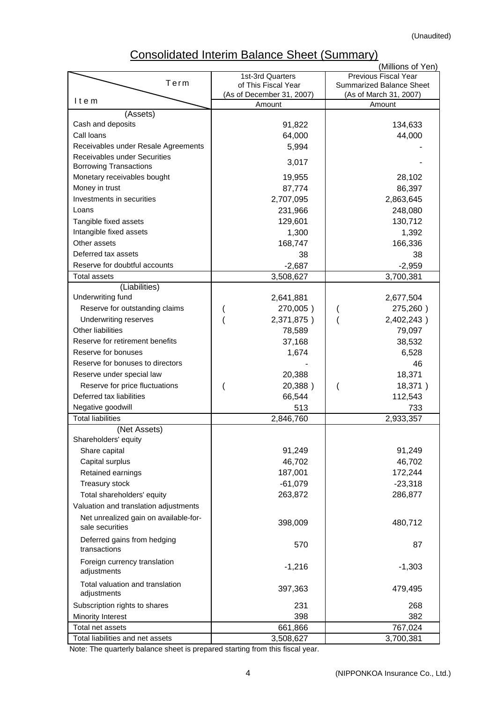## Consolidated Interim Balance Sheet (Summary)

|                                       |                                     | (Millions of Yen)               |
|---------------------------------------|-------------------------------------|---------------------------------|
| Term                                  | 1st-3rd Quarters                    | Previous Fiscal Year            |
|                                       | of This Fiscal Year                 | <b>Summarized Balance Sheet</b> |
| Item                                  | (As of December 31, 2007)<br>Amount | (As of March 31, 2007)          |
| (Assets)                              |                                     | Amount                          |
| Cash and deposits                     | 91,822                              | 134,633                         |
| Call Ioans                            | 64,000                              | 44,000                          |
| Receivables under Resale Agreements   |                                     |                                 |
| Receivables under Securities          | 5,994                               |                                 |
| <b>Borrowing Transactions</b>         | 3,017                               |                                 |
| Monetary receivables bought           | 19,955                              | 28,102                          |
| Money in trust                        | 87,774                              | 86,397                          |
| Investments in securities             | 2,707,095                           | 2,863,645                       |
| Loans                                 | 231,966                             |                                 |
|                                       |                                     | 248,080                         |
| Tangible fixed assets                 | 129,601                             | 130,712                         |
| Intangible fixed assets               | 1,300                               | 1,392                           |
| Other assets                          | 168,747                             | 166,336                         |
| Deferred tax assets                   | 38                                  | 38                              |
| Reserve for doubtful accounts         | $-2,687$                            | $-2,959$                        |
| <b>Total assets</b>                   | 3,508,627                           | 3,700,381                       |
| (Liabilities)                         |                                     |                                 |
| Underwriting fund                     | 2,641,881                           | 2,677,504                       |
| Reserve for outstanding claims        | 270,005)                            | 275,260)                        |
| Underwriting reserves                 | 2,371,875)                          | 2,402,243)                      |
| <b>Other liabilities</b>              | 78,589                              | 79,097                          |
| Reserve for retirement benefits       | 37,168                              | 38,532                          |
| Reserve for bonuses                   | 1,674                               | 6,528                           |
| Reserve for bonuses to directors      |                                     | 46                              |
| Reserve under special law             | 20,388                              | 18,371                          |
| Reserve for price fluctuations        | 20,388)                             | 18,371)                         |
| Deferred tax liabilities              | 66,544                              | 112,543                         |
| Negative goodwill                     | 513                                 | 733                             |
| <b>Total liabilities</b>              | 2,846,760                           | 2,933,357                       |
| (Net Assets)                          |                                     |                                 |
| Shareholders' equity                  |                                     |                                 |
| Share capital                         | 91,249                              | 91,249                          |
| Capital surplus                       | 46,702                              | 46,702                          |
| Retained earnings                     | 187,001                             | 172,244                         |
| Treasury stock                        | $-61,079$                           | $-23,318$                       |
| Total shareholders' equity            | 263,872                             | 286,877                         |
| Valuation and translation adjustments |                                     |                                 |
| Net unrealized gain on available-for- |                                     |                                 |
| sale securities                       | 398,009                             | 480,712                         |
| Deferred gains from hedging           |                                     |                                 |
| transactions                          | 570                                 | 87                              |
| Foreign currency translation          |                                     |                                 |
| adjustments                           | $-1,216$                            | $-1,303$                        |
| Total valuation and translation       |                                     |                                 |
| adjustments                           | 397,363                             | 479,495                         |
| Subscription rights to shares         | 231                                 | 268                             |
| Minority Interest                     | 398                                 | 382                             |
| Total net assets                      | 661,866                             | 767,024                         |
| Total liabilities and net assets      | 3,508,627                           | 3,700,381                       |
|                                       |                                     |                                 |

Note: The quarterly balance sheet is prepared starting from this fiscal year.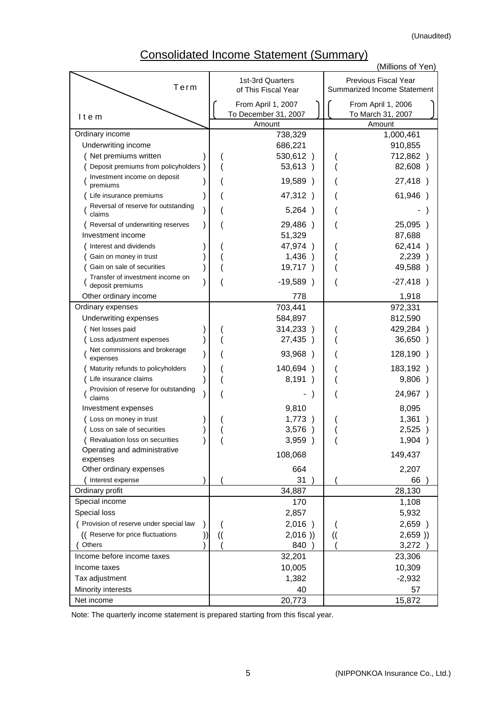(Unaudited)

## Consolidated Income Statement (Summary)

|                                                      |               |                                            |               | (Millions of Yen)                                          |
|------------------------------------------------------|---------------|--------------------------------------------|---------------|------------------------------------------------------------|
| Term                                                 |               | 1st-3rd Quarters<br>of This Fiscal Year    |               | Previous Fiscal Year<br><b>Summarized Income Statement</b> |
|                                                      |               |                                            |               |                                                            |
|                                                      |               | From April 1, 2007<br>To December 31, 2007 |               | From April 1, 2006<br>To March 31, 2007                    |
| Item                                                 |               | Amount                                     |               | Amount                                                     |
| Ordinary income                                      |               | 738,329                                    |               | 1,000,461                                                  |
| Underwriting income                                  |               | 686,221                                    |               | 910,855                                                    |
| (Net premiums written                                |               | 530,612)                                   |               | 712,862)                                                   |
| Deposit premiums from policyholders                  |               | 53,613)                                    |               | 82,608)                                                    |
| Investment income on deposit<br>premiums             |               | 19,589 )                                   |               | 27,418)                                                    |
| Life insurance premiums                              |               | 47,312)                                    |               | 61,946)                                                    |
| Reversal of reserve for outstanding<br>claims        |               | 5,264)                                     |               |                                                            |
| Reversal of underwriting reserves                    |               | 29,486)                                    |               | 25,095 )                                                   |
| Investment income                                    |               | 51,329                                     |               | 87,688                                                     |
| Interest and dividends                               |               | 47,974)                                    |               | 62,414)                                                    |
| Gain on money in trust                               |               | 1,436)                                     |               | 2,239)                                                     |
| Gain on sale of securities                           |               | 19,717)                                    |               | 49,588 )                                                   |
| Transfer of investment income on<br>deposit premiums |               | $-19,589$<br>$\rightarrow$                 |               | $-27,418)$                                                 |
| Other ordinary income                                |               | 778                                        |               | 1,918                                                      |
| Ordinary expenses                                    |               | 703,441                                    |               | 972,331                                                    |
| Underwriting expenses                                |               | 584,897                                    |               | 812,590                                                    |
| Net losses paid                                      |               | 314,233)                                   |               | 429,284)                                                   |
| Loss adjustment expenses                             |               | 27,435 )                                   |               | 36,650)                                                    |
| Net commissions and brokerage<br>expenses            |               | 93,968)                                    |               | 128,190)                                                   |
| Maturity refunds to policyholders                    |               | 140,694)                                   |               | 183,192)                                                   |
| Life insurance claims                                |               | 8,191)                                     |               | 9,806)                                                     |
| Provision of reserve for outstanding<br>claims       |               |                                            |               | 24,967)                                                    |
| Investment expenses                                  |               | 9,810                                      |               | 8,095                                                      |
| Loss on money in trust                               |               | 1,773)                                     |               | 1,361                                                      |
| Loss on sale of securities                           |               | 3,576                                      |               | 2,525                                                      |
| Revaluation loss on securities                       |               | 3,959)                                     |               | 1,904)                                                     |
| Operating and administrative<br>expenses             |               | 108,068                                    |               | 149,437                                                    |
| Other ordinary expenses                              |               | 664                                        |               | 2,207                                                      |
| Interest expense                                     |               | 31                                         |               | 66                                                         |
| Ordinary profit                                      |               | 34,887                                     |               | 28,130                                                     |
| Special income                                       |               | 170                                        |               | 1,108                                                      |
| Special loss                                         |               | 2,857                                      |               | 5,932                                                      |
| ( Provision of reserve under special law             |               | 2,016)                                     |               | 2,659)                                                     |
| (( Reserve for price fluctuations                    | $\mathcal{U}$ | 2,016)                                     | $\mathcal{U}$ | 2,659)                                                     |
| Others                                               |               | 840                                        |               | 3,272                                                      |
| Income before income taxes                           |               | 32,201                                     |               | 23,306                                                     |
| Income taxes                                         |               | 10,005                                     |               | 10,309                                                     |
| Tax adjustment                                       |               | 1,382                                      |               | $-2,932$                                                   |
| Minority interests                                   |               | 40                                         |               | 57                                                         |
| Net income                                           |               | 20,773                                     |               | 15,872                                                     |

Note: The quarterly income statement is prepared starting from this fiscal year.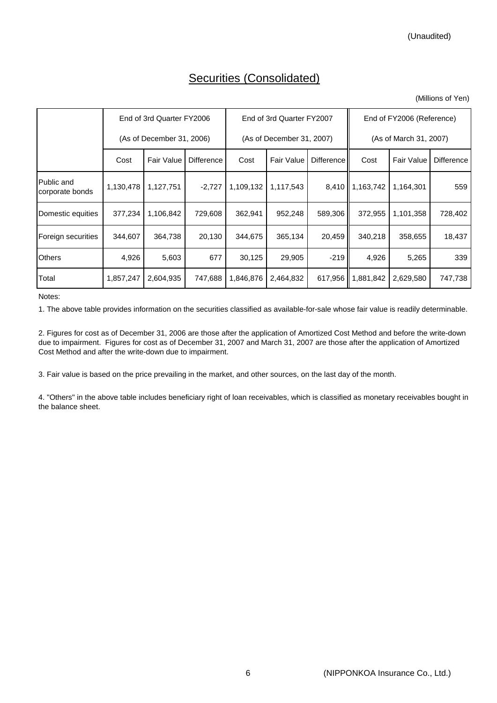## Securities (Consolidated)

|                               | End of 3rd Quarter FY2006<br>(As of December 31, 2006) |            |                   | End of 3rd Quarter FY2007 |                           |                   | End of FY2006 (Reference) |                        |                   |  |
|-------------------------------|--------------------------------------------------------|------------|-------------------|---------------------------|---------------------------|-------------------|---------------------------|------------------------|-------------------|--|
|                               |                                                        |            |                   |                           | (As of December 31, 2007) |                   |                           | (As of March 31, 2007) |                   |  |
|                               | Cost                                                   | Fair Value | <b>Difference</b> | Cost                      | Fair Value                | <b>Difference</b> | Cost                      | <b>Fair Value</b>      | <b>Difference</b> |  |
| Public and<br>corporate bonds | 1,130,478                                              | 1,127,751  | $-2,727$          | 1,109,132                 | 1,117,543                 |                   | 8,410   1,163,742         | 1,164,301              | 559               |  |
| Domestic equities             | 377,234                                                | 1,106,842  | 729,608           | 362,941                   | 952,248                   | 589,306           | 372,955                   | 1,101,358              | 728,402           |  |
| Foreign securities            | 344,607                                                | 364,738    | 20,130            | 344,675                   | 365,134                   | 20,459            | 340,218                   | 358,655                | 18,437            |  |
| <b>Others</b>                 | 4,926                                                  | 5,603      | 677               | 30,125                    | 29,905                    | $-219$            | 4,926                     | 5,265                  | 339               |  |
| Total                         | 1,857,247                                              | 2,604,935  | 747,688           | 1,846,876                 | 2,464,832                 | 617,956           | 1,881,842                 | 2,629,580              | 747,738           |  |

Notes:

1. The above table provides information on the securities classified as available-for-sale whose fair value is readily determinable.

2. Figures for cost as of December 31, 2006 are those after the application of Amortized Cost Method and before the write-down due to impairment. Figures for cost as of December 31, 2007 and March 31, 2007 are those after the application of Amortized Cost Method and after the write-down due to impairment.

3. Fair value is based on the price prevailing in the market, and other sources, on the last day of the month.

4. "Others" in the above table includes beneficiary right of loan receivables, which is classified as monetary receivables bought in the balance sheet.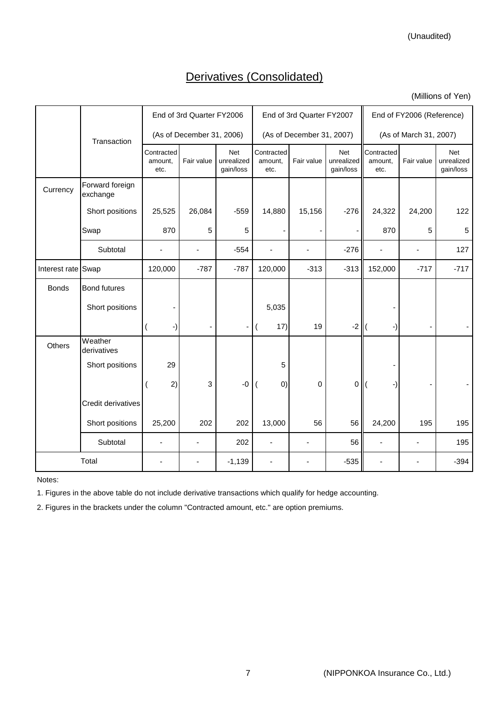(Unaudited)

## Derivatives (Consolidated)

(Millions of Yen)

|                    |                             |                               | End of 3rd Quarter FY2006 |                                |                               | End of 3rd Quarter FY2007 |                                       | End of FY2006 (Reference)     |                                                                                        |                                |  |
|--------------------|-----------------------------|-------------------------------|---------------------------|--------------------------------|-------------------------------|---------------------------|---------------------------------------|-------------------------------|----------------------------------------------------------------------------------------|--------------------------------|--|
|                    | Transaction                 |                               | (As of December 31, 2006) |                                |                               | (As of December 31, 2007) |                                       |                               | (As of March 31, 2007)<br>Fair value<br>24,200<br>870<br>5<br>$\blacksquare$<br>$-717$ |                                |  |
|                    |                             | Contracted<br>amount.<br>etc. | Fair value                | Net<br>unrealized<br>gain/loss | Contracted<br>amount.<br>etc. | Fair value                | <b>Net</b><br>unrealized<br>gain/loss | Contracted<br>amount.<br>etc. |                                                                                        | Net<br>unrealized<br>gain/loss |  |
| Currency           | Forward foreign<br>exchange |                               |                           |                                |                               |                           |                                       |                               |                                                                                        |                                |  |
|                    | Short positions             | 25,525                        | 26,084                    | $-559$                         | 14,880                        | 15,156                    | $-276$                                | 24,322                        |                                                                                        | 122                            |  |
|                    | Swap                        | 870                           | 5                         | 5                              |                               |                           |                                       |                               |                                                                                        | 5                              |  |
|                    | Subtotal                    |                               |                           | $-554$                         |                               |                           | $-276$                                |                               |                                                                                        | 127                            |  |
| Interest rate Swap |                             | 120,000                       | $-787$                    | $-787$                         | 120,000                       | $-313$                    | $-313$                                | 152,000                       |                                                                                        | $-717$                         |  |
| <b>Bonds</b>       | <b>Bond futures</b>         |                               |                           |                                |                               |                           |                                       |                               |                                                                                        |                                |  |
|                    | Short positions             |                               |                           |                                | 5,035                         |                           |                                       |                               |                                                                                        |                                |  |
|                    |                             | -)                            |                           | $\overline{\phantom{a}}$       | 17)<br>$\overline{(}$         | 19                        | $-2$                                  | -)                            |                                                                                        |                                |  |
| Others             | Weather<br>derivatives      |                               |                           |                                |                               |                           |                                       |                               |                                                                                        |                                |  |
|                    | Short positions             | 29                            |                           |                                | 5                             |                           |                                       |                               |                                                                                        |                                |  |
|                    |                             | 2)                            | 3                         | $-0$                           | (0)                           | 0                         | 0                                     | -)                            |                                                                                        |                                |  |
|                    | Credit derivatives          |                               |                           |                                |                               |                           |                                       |                               |                                                                                        |                                |  |
|                    | Short positions             | 25,200                        | 202                       | 202                            | 13,000                        | 56                        | 56                                    | 24,200                        | 195                                                                                    | 195                            |  |
|                    | Subtotal                    | ä,                            |                           | 202                            | $\overline{\phantom{a}}$      |                           | 56                                    |                               | ä,                                                                                     | 195                            |  |
|                    | Total                       |                               |                           | $-1,139$                       |                               |                           | $-535$                                |                               |                                                                                        | $-394$                         |  |

Notes:

1. Figures in the above table do not include derivative transactions which qualify for hedge accounting.

2. Figures in the brackets under the column "Contracted amount, etc." are option premiums.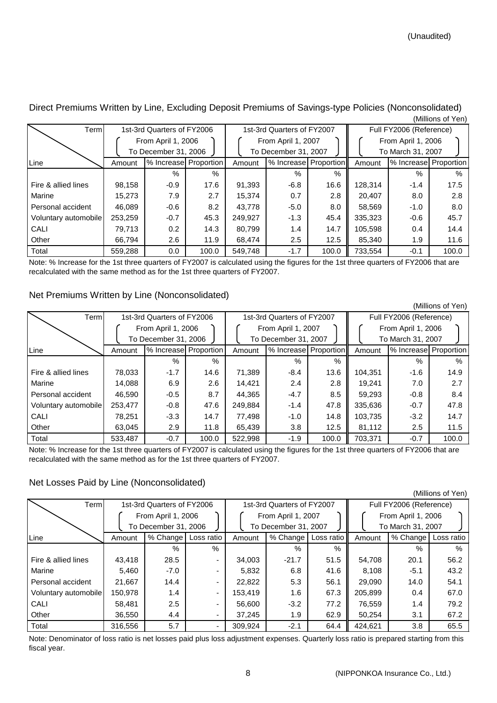| Terml                |         | 1st-3rd Quarters of FY2006 |       | 1st-3rd Quarters of FY2007 |                       |       | Full FY2006 (Reference)                 |                       |       |  |
|----------------------|---------|----------------------------|-------|----------------------------|-----------------------|-------|-----------------------------------------|-----------------------|-------|--|
|                      |         | From April 1, 2006         |       |                            | From April 1, 2007    |       | From April 1, 2006<br>To March 31, 2007 |                       |       |  |
|                      |         | To December 31, 2006       |       |                            | To December 31, 2007  |       |                                         |                       |       |  |
| Line                 | Amount  | % Increase Proportion      |       | Amount                     | % Increase Proportion |       | Amount                                  | % Increase Proportion |       |  |
|                      |         | $\%$                       | $\%$  |                            | $\%$                  | $\%$  |                                         | $\%$                  | $\%$  |  |
| Fire & allied lines  | 98,158  | $-0.9$                     | 17.6  | 91,393                     | $-6.8$                | 16.6  | 128,314                                 | $-1.4$                | 17.5  |  |
| Marine               | 15,273  | 7.9                        | 2.7   | 15,374                     | 0.7                   | 2.8   | 20.407                                  | 8.0                   | 2.8   |  |
| Personal accident    | 46,089  | $-0.6$                     | 8.2   | 43,778                     | $-5.0$                | 8.0   | 58,569                                  | $-1.0$                | 8.0   |  |
| Voluntary automobile | 253,259 | $-0.7$                     | 45.3  | 249,927                    | $-1.3$                | 45.4  | 335,323                                 | $-0.6$                | 45.7  |  |
| CALI                 | 79,713  | 0.2                        | 14.3  | 80,799                     | 1.4                   | 14.7  | 105,598                                 | $0.4^{\circ}$         | 14.4  |  |
| Other                | 66,794  | 2.6                        | 11.9  | 68,474                     | 2.5                   | 12.5  | 85,340                                  | 1.9                   | 11.6  |  |
| Total                | 559,288 | 0.0                        | 100.0 | 549.748                    | $-1.7$                | 100.0 | 733.554                                 | $-0.1$                | 100.0 |  |

Direct Premiums Written by Line, Excluding Deposit Premiums of Savings-type Policies (Nonconsolidated) (Millions of Yen)

Note: % Increase for the 1st three quarters of FY2007 is calculated using the figures for the 1st three quarters of FY2006 that are recalculated with the same method as for the 1st three quarters of FY2007.

### Net Premiums Written by Line (Nonconsolidated)

(Millions of Yen) Term 1st-3rd Quarters of FY2006 1st-3rd Quarters of FY2007 Full FY2006 (Reference) From April 1, 2006 | | | From April 1, 2007 | | | From April 1, 2006 To December 31, 2006  $\left| \begin{array}{c} \end{array} \right|$  To December 31, 2007  $\left| \begin{array}{c} \end{array} \right|$  To March 31, 2007 Line Amount |% Increase Proportion | Amount |% Increase Proportion | Amount % % % % % % Fire & allied lines 78,033 -1.7 14.6 71,389 -8.4 13.6 104,351 -1.6 14.9 Marine 14,088 6.9 2.6 14,421 2.4 2.8 19,241 7.0 2.7 Personal accident | 46,590 | -0.5 | 8.7 | 44,365 | -4.7 | 8.5 || 59,293 | -0.8 | 8.4 Voluntary automobile 253,477  $-0.8$  47.6 249,884  $-1.4$  47.8 335,636  $-0.7$  47.8 CALI | 78,251 | -3.3 | 14.7 | 77,498 | -1.0 | 14.8 || 103,735 | -3.2 | 14.7 Other 1.5 | 63,045 | 2.9 | 11.8 | 65,439 | 3.8 | 12.5 | 81,112 | 2.5 | 11.5 Total 533,487 -0.7 100.0 522,998 -1.9 100.0 703,371 -0.7 100.0 % Increase Proportion % Increase **Proportion** 

Note: % Increase for the 1st three quarters of FY2007 is calculated using the figures for the 1st three quarters of FY2006 that are recalculated with the same method as for the 1st three quarters of FY2007.

### Net Losses Paid by Line (Nonconsolidated)

| Terml                |                                            | 1st-3rd Quarters of FY2006 |                          | 1st-3rd Quarters of FY2007 |                                            |            | Full FY2006 (Reference)                 |          |            |  |
|----------------------|--------------------------------------------|----------------------------|--------------------------|----------------------------|--------------------------------------------|------------|-----------------------------------------|----------|------------|--|
|                      | From April 1, 2006<br>To December 31, 2006 |                            |                          |                            | From April 1, 2007<br>To December 31, 2007 |            | From April 1, 2006<br>To March 31, 2007 |          |            |  |
| Line                 | Amount                                     | % Change                   | Loss ratio               | Amount                     | % Change                                   | Loss ratio | Amount                                  | % Change | Loss ratio |  |
|                      |                                            | $\%$                       | $\%$                     |                            | $\%$                                       | $\%$       |                                         | $\%$     | $\%$       |  |
| Fire & allied lines  | 43.418                                     | 28.5                       | $\blacksquare$           | 34,003                     | $-21.7$                                    | 51.5       | 54,708                                  | 20.1     | 56.2       |  |
| Marine               | 5.460                                      | $-7.0$                     | ۰                        | 5,832                      | 6.8                                        | 41.6       | 8.108                                   | $-5.1$   | 43.2       |  |
| Personal accident    | 21.667                                     | 14.4                       | ٠                        | 22.822                     | 5.3                                        | 56.1       | 29,090                                  | 14.0     | 54.1       |  |
| Voluntary automobile | 150,978                                    | $1.4^{\circ}$              | ٠                        | 153,419                    | 1.6                                        | 67.3       | 205,899                                 | 0.4      | 67.0       |  |
| CALI                 | 58.481                                     | 2.5                        | ٠                        | 56.600                     | $-3.2$                                     | 77.2       | 76,559                                  | 1.4      | 79.2       |  |
| Other                | 36,550                                     | 4.4                        | ٠                        | 37,245                     | 1.9                                        | 62.9       | 50,254                                  | 3.1      | 67.2       |  |
| Total                | 316.556                                    | 5.7                        | $\overline{\phantom{a}}$ | 309.924                    | $-2.1$                                     | 64.4       | 424.621                                 | 3.8      | 65.5       |  |

Note: Denominator of loss ratio is net losses paid plus loss adjustment expenses. Quarterly loss ratio is prepared starting from this fiscal year.

(Millions of Yen)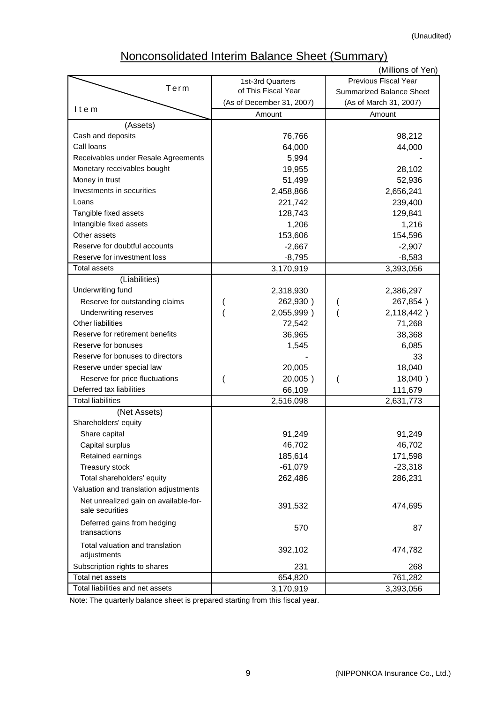# Nonconsolidated Interim Balance Sheet (Summary)

|                                                |                           | (Millions of Yen)               |
|------------------------------------------------|---------------------------|---------------------------------|
|                                                | 1st-3rd Quarters          | Previous Fiscal Year            |
| Term                                           | of This Fiscal Year       | <b>Summarized Balance Sheet</b> |
|                                                | (As of December 31, 2007) | (As of March 31, 2007)          |
| Item                                           | Amount                    | Amount                          |
| (Assets)                                       |                           |                                 |
| Cash and deposits                              | 76,766                    | 98,212                          |
| Call Ioans                                     | 64,000                    | 44,000                          |
| Receivables under Resale Agreements            | 5,994                     |                                 |
| Monetary receivables bought                    | 19,955                    | 28,102                          |
| Money in trust                                 | 51,499                    | 52,936                          |
| Investments in securities                      | 2,458,866                 | 2,656,241                       |
| Loans                                          | 221,742                   | 239,400                         |
| Tangible fixed assets                          | 128,743                   | 129,841                         |
| Intangible fixed assets                        | 1,206                     | 1,216                           |
| Other assets                                   | 153,606                   | 154,596                         |
| Reserve for doubtful accounts                  | $-2,667$                  | $-2,907$                        |
| Reserve for investment loss                    | $-8,795$                  | $-8,583$                        |
| <b>Total assets</b>                            | 3,170,919                 | 3,393,056                       |
| (Liabilities)                                  |                           |                                 |
| Underwriting fund                              | 2,318,930                 | 2,386,297                       |
| Reserve for outstanding claims                 | 262,930)                  | 267,854)                        |
| Underwriting reserves                          | 2,055,999)                | 2,118,442)                      |
| Other liabilities                              | 72,542                    | 71,268                          |
| Reserve for retirement benefits                | 36,965                    | 38,368                          |
| Reserve for bonuses                            | 1,545                     | 6,085                           |
| Reserve for bonuses to directors               |                           | 33                              |
| Reserve under special law                      | 20,005                    | 18,040                          |
| Reserve for price fluctuations                 | 20,005)                   | 18,040)                         |
| Deferred tax liabilities                       | 66,109                    | 111,679                         |
| <b>Total liabilities</b>                       | 2,516,098                 | 2,631,773                       |
| (Net Assets)                                   |                           |                                 |
| Shareholders' equity                           |                           |                                 |
| Share capital                                  | 91,249                    | 91,249                          |
| Capital surplus                                | 46,702                    | 46,702                          |
| Retained earnings                              | 185,614                   | 171,598                         |
| Treasury stock                                 | $-61,079$                 | $-23,318$                       |
| Total shareholders' equity                     | 262,486                   | 286,231                         |
| Valuation and translation adjustments          |                           |                                 |
| Net unrealized gain on available-for-          |                           |                                 |
| sale securities                                | 391,532                   | 474,695                         |
| Deferred gains from hedging<br>transactions    | 570                       | 87                              |
| Total valuation and translation<br>adjustments | 392,102                   | 474,782                         |
| Subscription rights to shares                  | 231                       | 268                             |
| Total net assets                               | 654,820                   | 761,282                         |
| Total liabilities and net assets               | 3,170,919                 | 3,393,056                       |

Note: The quarterly balance sheet is prepared starting from this fiscal year.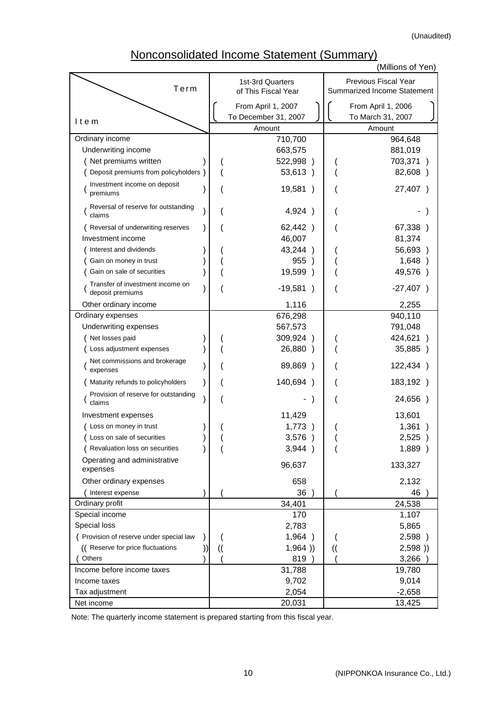(Unaudited)

## Nonconsolidated Income Statement (Summary)

|                                                      |  |               |                                         |               | (Millions of Yen)                                   |
|------------------------------------------------------|--|---------------|-----------------------------------------|---------------|-----------------------------------------------------|
| Term                                                 |  |               | 1st-3rd Quarters<br>of This Fiscal Year |               | Previous Fiscal Year<br>Summarized Income Statement |
|                                                      |  |               | From April 1, 2007                      |               | From April 1, 2006                                  |
|                                                      |  |               | To December 31, 2007                    |               | To March 31, 2007                                   |
| Item                                                 |  |               | Amount                                  |               | Amount                                              |
| Ordinary income                                      |  |               | 710,700                                 |               | 964,648                                             |
| Underwriting income                                  |  |               | 663,575                                 |               | 881,019                                             |
| Net premiums written                                 |  |               | 522,998)                                |               | 703,371)                                            |
| Deposit premiums from policyholders )                |  |               | 53,613)                                 |               | 82,608 )                                            |
| Investment income on deposit<br>premiums             |  |               | 19,581)                                 |               | 27,407 )                                            |
| Reversal of reserve for outstanding<br>claims        |  |               | 4,924 )                                 |               |                                                     |
| Reversal of underwriting reserves                    |  |               | 62,442)                                 |               | 67,338)                                             |
| Investment income                                    |  |               | 46,007                                  |               | 81,374                                              |
| Interest and dividends                               |  |               | 43,244)                                 |               | 56,693)                                             |
| Gain on money in trust                               |  |               | 955                                     |               | 1,648)                                              |
| Gain on sale of securities                           |  |               | 19,599 )                                |               | 49,576)                                             |
| Transfer of investment income on<br>deposit premiums |  |               | $-19,581$<br>$\lambda$                  |               | $-27,407$ )                                         |
| Other ordinary income                                |  |               | 1,116                                   |               | 2,255                                               |
| Ordinary expenses                                    |  |               | 676,298                                 |               | 940,110                                             |
| Underwriting expenses                                |  |               | 567,573                                 |               | 791,048                                             |
| Net losses paid                                      |  |               | 309,924)                                |               | 424,621                                             |
| Loss adjustment expenses                             |  |               | 26,880 )                                |               | 35,885)                                             |
| Net commissions and brokerage<br>expenses            |  |               | 89,869 )                                |               | 122,434)                                            |
| Maturity refunds to policyholders                    |  |               | 140,694)                                |               | 183,192)                                            |
| Provision of reserve for outstanding<br>claims       |  |               |                                         |               | 24,656)                                             |
| Investment expenses                                  |  |               | 11,429                                  |               | 13,601                                              |
| (Loss on money in trust                              |  |               | 1,773                                   |               | 1,361                                               |
| ( Loss on sale of securities                         |  |               | 3,576 )                                 |               | 2,525)                                              |
| (Revaluation loss on securities                      |  |               | 3,944)                                  |               | 1,889 )                                             |
| Operating and administrative<br>expenses             |  |               | 96,637                                  |               | 133,327                                             |
| Other ordinary expenses                              |  |               | 658                                     |               | 2,132                                               |
| Interest expense                                     |  |               | 36                                      |               | 46                                                  |
| Ordinary profit                                      |  |               | 34,401                                  |               | 24,538                                              |
| Special income                                       |  |               | 170                                     |               | 1,107                                               |
| Special loss                                         |  |               | 2,783                                   |               | 5,865                                               |
| ( Provision of reserve under special law             |  |               | 1,964)                                  |               | 2,598 )                                             |
| (( Reserve for price fluctuations                    |  | $\mathcal{U}$ | 1,964)                                  | $\mathcal{U}$ | 2,598)                                              |
| Others                                               |  |               | 819                                     |               | 3,266                                               |
| Income before income taxes                           |  |               | 31,788                                  |               | 19,780                                              |
| Income taxes                                         |  |               | 9,702                                   |               | 9,014                                               |
| Tax adjustment                                       |  |               | 2,054                                   |               | $-2,658$                                            |
| Net income                                           |  |               | 20,031                                  |               | 13,425                                              |

Note: The quarterly income statement is prepared starting from this fiscal year.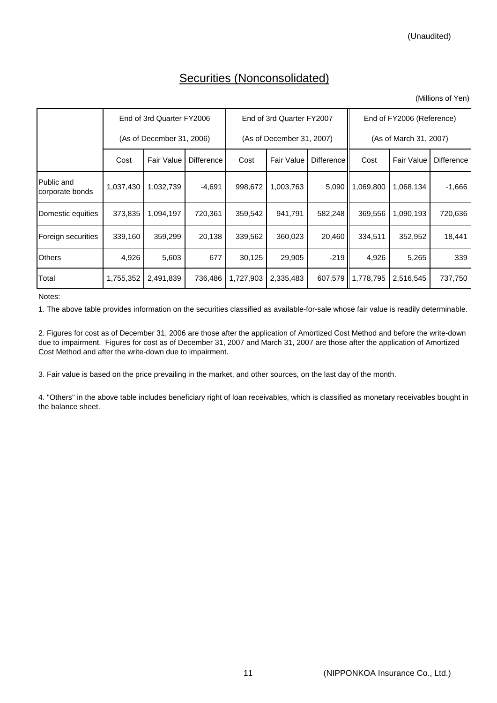### Securities (Nonconsolidated)

(Millions of Yen)

|                               |                           | End of 3rd Quarter FY2006 |                   |           | End of 3rd Quarter FY2007 |                   | End of FY2006 (Reference) |                   |                   |  |
|-------------------------------|---------------------------|---------------------------|-------------------|-----------|---------------------------|-------------------|---------------------------|-------------------|-------------------|--|
|                               | (As of December 31, 2006) |                           |                   |           | (As of December 31, 2007) |                   | (As of March 31, 2007)    |                   |                   |  |
|                               | Cost                      | <b>Fair Value</b>         | <b>Difference</b> | Cost      | <b>Fair Value</b>         | <b>Difference</b> | Cost                      | <b>Fair Value</b> | <b>Difference</b> |  |
| Public and<br>corporate bonds | 1,037,430                 | 1,032,739                 | $-4,691$          | 998,672   | 1,003,763                 |                   | 5,090   1,069,800         | 1,068,134         | $-1,666$          |  |
| Domestic equities             | 373,835                   | 1,094,197                 | 720,361           | 359,542   | 941,791                   | 582,248           | 369,556                   | 1,090,193         | 720,636           |  |
| Foreign securities            | 339,160                   | 359,299                   | 20,138            | 339,562   | 360,023                   | 20,460            | 334,511                   | 352,952           | 18,441            |  |
| <b>Others</b>                 | 4,926                     | 5,603                     | 677               | 30,125    | 29,905                    | $-219$            | 4,926                     | 5,265             | 339               |  |
| Total                         | 1,755,352                 | 2,491,839                 | 736,486           | 1,727,903 | 2,335,483                 | 607,579           | 1,778,795                 | 2,516,545         | 737,750           |  |

Notes:

1. The above table provides information on the securities classified as available-for-sale whose fair value is readily determinable.

2. Figures for cost as of December 31, 2006 are those after the application of Amortized Cost Method and before the write-down due to impairment. Figures for cost as of December 31, 2007 and March 31, 2007 are those after the application of Amortized Cost Method and after the write-down due to impairment.

3. Fair value is based on the price prevailing in the market, and other sources, on the last day of the month.

4. "Others" in the above table includes beneficiary right of loan receivables, which is classified as monetary receivables bought in the balance sheet.